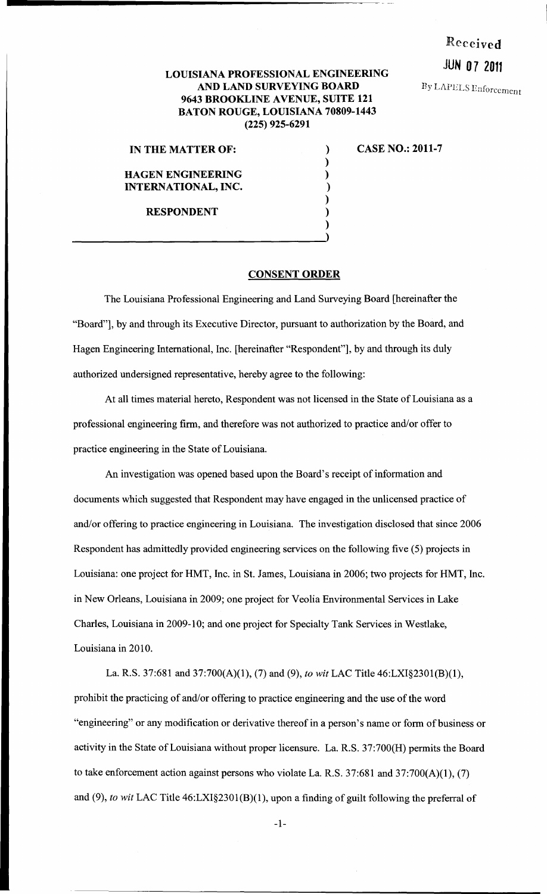# Received

**Ry LAPELS Enforcement** 

## JUN 07 2011 LOUISIANA PROFESSIONAL ENGINEERING AND LAND SURVEYING BOARD 9643 BROOKLINE AVENUE, SUITE 121 BATON ROUGE, LOUISIANA 70809-1443 (225) 925-6291

#### IN THE MATTER OF:

HAGEN ENGINEERING INTERNATIONAL, INC.

RESPONDENT

# CASE NO.: 2011-7

#### CONSENT ORDER

) ) ) ) ) ) )

The Louisiana Professional Engineering and Land Surveying Board [hereinafter the "Board"], by and through its Executive Director, pursuant to authorization by the Board, and Hagen Engineering International, Inc. [hereinafter "Respondent"], by and through its duly authorized undersigned representative, hereby agree to the following:

At all times material hereto, Respondent was not licensed in the State of Louisiana as a professional engineering firm, and therefore was not authorized to practice and/or offer to practice engineering in the State of Louisiana.

An investigation was opened based upon the Board's receipt of information and documents which suggested that Respondent may have engaged in the unlicensed practice of and/or offering to practice engineering in Louisiana. The investigation disclosed that since 2006 Respondent has admittedly provided engineering services on the following five (5) projects in Louisiana: one project for HMT, Inc. in St. James, Louisiana in 2006; two projects for HMT, Inc. in New Orleans, Louisiana in 2009; one project for Veolia Environmental Services in Lake Charles, Louisiana in 2009-10; and one project for Specialty Tank Services in Westlake, Louisiana in 2010.

La. R.S. 37:681 and 37:700(A)(1), (7) and (9), *to wit* LAC Title 46:LXI§2301(B)(1), prohibit the practicing of and/or offering to practice engineering and the use of the word "engineering" or any modification or derivative thereof in a person's name or form of business or activity in the State of Louisiana without proper licensure. La. R.S. 37:700(H) permits the Board to take enforcement action against persons who violate La. R.S. 37:681 and 37:700(A)(1), (7) and (9), *to wit* LAC Title 46:LXI§2301(B)(1), upon a finding of guilt following the preferral of

-1-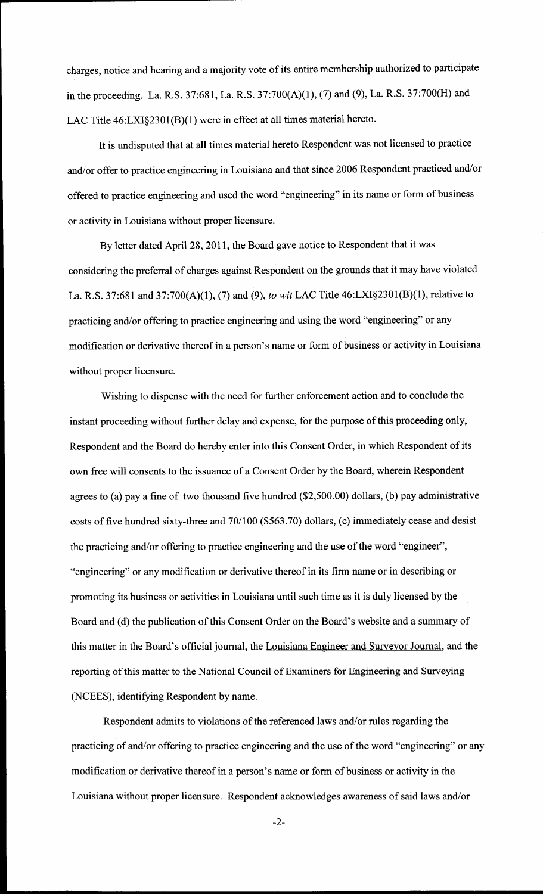charges, notice and hearing and a majority vote of its entire membership authorized to participate in the proceeding. La. R.S. 37:681, La. R.S. 37:700(A)(1), (7) and (9), La. R.S. 37:700(H) and LAC Title 46:LXI§2301(B)(1) were in effect at all times material hereto.

It is undisputed that at all times material hereto Respondent was not licensed to practice and/or offer to practice engineering in Louisiana and that since 2006 Respondent practiced and/or offered to practice engineering and used the word "engineering" in its name or form of business or activity in Louisiana without proper licensure.

By letter dated April28, 2011, the Board gave notice to Respondent that it was considering the preferral of charges against Respondent on the grounds that it may have violated La. R.S. 37:681 and 37:700(A)(1), (7) and (9), *to wit* LAC Title 46:LXI§2301(B)(1), relative to practicing and/or offering to practice engineering and using the word "engineering" or any modification or derivative thereof in a person's name or form of business or activity in Louisiana without proper licensure.

Wishing to dispense with the need for further enforcement action and to conclude the instant proceeding without further delay and expense, for the purpose of this proceeding only, Respondent and the Board do hereby enter into this Consent Order, in which Respondent of its own free will consents to the issuance of a Consent Order by the Board, wherein Respondent agrees to (a) pay a fine of two thousand five hundred (\$2,500.00) dollars, (b) pay administrative costs of five hundred sixty-three and 70/100 (\$563.70) dollars, (c) immediately cease and desist the practicing and/or offering to practice engineering and the use of the word "engineer", "engineering" or any modification or derivative thereof in its firm name or in describing or promoting its business or activities in Louisiana until such time as it is duly licensed by the Board and (d) the publication of this Consent Order on the Board's website and a summary of this matter in the Board's official journal, the Louisiana Engineer and Surveyor Journal, and the reporting of this matter to the National Council of Examiners for Engineering and Surveying (NCEES), identifying Respondent by name.

Respondent admits to violations of the referenced laws and/or rules regarding the practicing of and/or offering to practice engineering and the use of the word "engineering" or any modification or derivative thereof in a person's name or form of business or activity in the Louisiana without proper licensure. Respondent acknowledges awareness of said laws and/or

-2-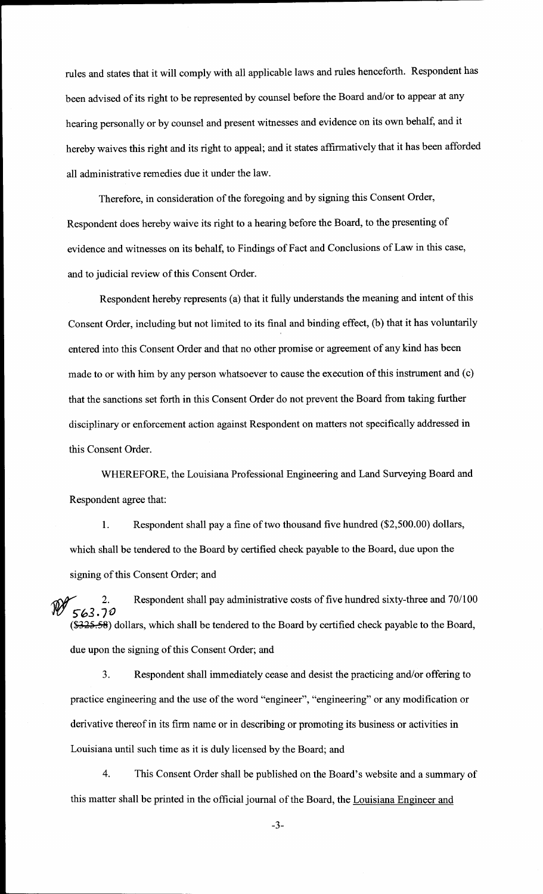rules and states that it will comply with all applicable laws and rules henceforth. Respondent has been advised of its right to be represented by counsel before the Board and/or to appear at any hearing personally or by counsel and present witnesses and evidence on its own behalf, and it hereby waives this right and its right to appeal; and it states affirmatively that it has been afforded all administrative remedies due it under the law.

Therefore, in consideration of the foregoing and by signing this Consent Order, Respondent does hereby waive its right to a hearing before the Board, to the presenting of evidence and witnesses on its behalf, to Findings of Fact and Conclusions of Law in this case, and to judicial review of this Consent Order.

Respondent hereby represents (a) that it fully understands the meaning and intent of this Consent Order, including but not limited to its final and binding effect, (b) that it has voluntarily entered into this Consent Order and that no other promise or agreement of any kind has been made to or with him by any person whatsoever to cause the execution of this instrument and (c) that the sanctions set forth in this Consent Order do not prevent the Board from taking further disciplinary or enforcement action against Respondent on matters not specifically addressed in this Consent Order.

WHEREFORE, the Louisiana Professional Engineering and Land Surveying Board and Respondent agree that:

1. Respondent shall pay a fine of two thousand five hundred (\$2,500.00) dollars, which shall be tendered to the Board by certified check payable to the Board, due upon the signing of this Consent Order; and

 $\sqrt{1-x^2}$  2. J'(! 5"~3. 7 *0*  Respondent shall pay administrative costs of five hundred sixty-three and 70/100 (\$325.58) dollars, which shall be tendered to the Board by certified check payable to the Board, due upon the signing of this Consent Order; and

3. Respondent shall immediately cease and desist the practicing and/or offering to practice engineering and the use of the word "engineer", "engineering" or any modification or derivative thereof in its firm name or in describing or promoting its business or activities in Louisiana until such time as it is duly licensed by the Board; and

4. This Consent Order shall be published on the Board's website and a summary of this matter shall be printed in the official journal of the Board, the Louisiana Engineer and

-3-